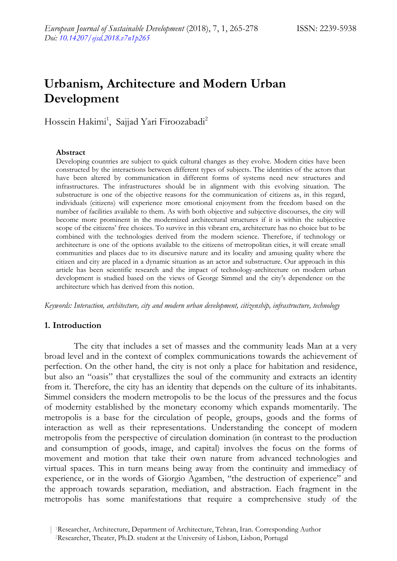# **Urbanism, Architecture and Modern Urban Development**

Hossein Hakimi<sup>1</sup>, Sajjad Yari Firoozabadi<sup>2</sup>

#### **Abstract**

Developing countries are subject to quick cultural changes as they evolve. Modern cities have been constructed by the interactions between different types of subjects. The identities of the actors that have been altered by communication in different forms of systems need new structures and infrastructures. The infrastructures should be in alignment with this evolving situation. The substructure is one of the objective reasons for the communication of citizens as, in this regard, individuals (citizens) will experience more emotional enjoyment from the freedom based on the number of facilities available to them. As with both objective and subjective discourses, the city will become more prominent in the modernized architectural structures if it is within the subjective scope of the citizens" free choices. To survive in this vibrant era, architecture has no choice but to be combined with the technologies derived from the modern science. Therefore, if technology or architecture is one of the options available to the citizens of metropolitan cities, it will create small communities and places due to its discursive nature and its locality and amusing quality where the citizen and city are placed in a dynamic situation as an actor and substructure. Our approach in this article has been scientific research and the impact of technology-architecture on modern urban development is studied based on the views of George Simmel and the city's dependence on the architecture which has derived from this notion.

*Keywords: Interaction, architecture, city and modern urban development, citizenship, infrastructure, technology*

#### **1. Introduction**

The city that includes a set of masses and the community leads Man at a very broad level and in the context of complex communications towards the achievement of perfection. On the other hand, the city is not only a place for habitation and residence, but also an "oasis" that crystallizes the soul of the community and extracts an identity from it. Therefore, the city has an identity that depends on the culture of its inhabitants. Simmel considers the modern metropolis to be the locus of the pressures and the focus of modernity established by the monetary economy which expands momentarily. The metropolis is a base for the circulation of people, groups, goods and the forms of interaction as well as their representations. Understanding the concept of modern metropolis from the perspective of circulation domination (in contrast to the production and consumption of goods, image, and capital) involves the focus on the forms of movement and motion that take their own nature from advanced technologies and virtual spaces. This in turn means being away from the continuity and immediacy of experience, or in the words of Giorgio Agamben, "the destruction of experience" and the approach towards separation, mediation, and abstraction. Each fragment in the metropolis has some manifestations that require a comprehensive study of the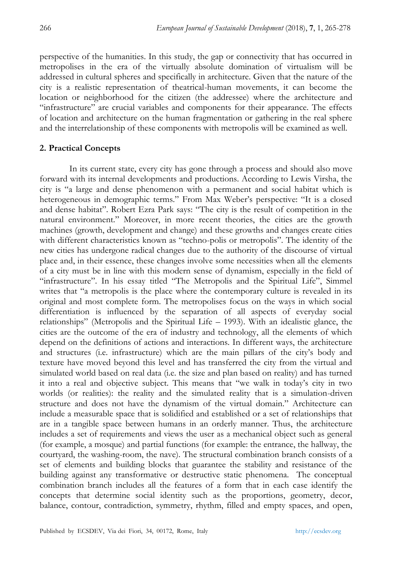perspective of the humanities. In this study, the gap or connectivity that has occurred in metropolises in the era of the virtually absolute domination of virtualism will be addressed in cultural spheres and specifically in architecture. Given that the nature of the city is a realistic representation of theatrical-human movements, it can become the location or neighborhood for the citizen (the addressee) where the architecture and "infrastructure" are crucial variables and components for their appearance. The effects of location and architecture on the human fragmentation or gathering in the real sphere and the interrelationship of these components with metropolis will be examined as well.

### **2. Practical Concepts**

In its current state, every city has gone through a process and should also move forward with its internal developments and productions. According to Lewis Virsha, the city is "a large and dense phenomenon with a permanent and social habitat which is heterogeneous in demographic terms." From Max Weber"s perspective: "It is a closed and dense habitat". Robert Ezra Park says: "The city is the result of competition in the natural environment." Moreover, in more recent theories, the cities are the growth machines (growth, development and change) and these growths and changes create cities with different characteristics known as "techno-polis or metropolis". The identity of the new cities has undergone radical changes due to the authority of the discourse of virtual place and, in their essence, these changes involve some necessities when all the elements of a city must be in line with this modern sense of dynamism, especially in the field of "infrastructure". In his essay titled "The Metropolis and the Spiritual Life", Simmel writes that "a metropolis is the place where the contemporary culture is revealed in its original and most complete form. The metropolises focus on the ways in which social differentiation is influenced by the separation of all aspects of everyday social relationships" (Metropolis and the Spiritual Life – 1993). With an idealistic glance, the cities are the outcome of the era of industry and technology, all the elements of which depend on the definitions of actions and interactions. In different ways, the architecture and structures (i.e. infrastructure) which are the main pillars of the city"s body and texture have moved beyond this level and has transferred the city from the virtual and simulated world based on real data (i.e. the size and plan based on reality) and has turned it into a real and objective subject. This means that "we walk in today"s city in two worlds (or realities): the reality and the simulated reality that is a simulation-driven structure and does not have the dynamism of the virtual domain." Architecture can include a measurable space that is solidified and established or a set of relationships that are in a tangible space between humans in an orderly manner. Thus, the architecture includes a set of requirements and views the user as a mechanical object such as general (for example, a mosque) and partial functions (for example: the entrance, the hallway, the courtyard, the washing-room, the nave). The structural combination branch consists of a set of elements and building blocks that guarantee the stability and resistance of the building against any transformative or destructive static phenomena. The conceptual combination branch includes all the features of a form that in each case identify the concepts that determine social identity such as the proportions, geometry, decor, balance, contour, contradiction, symmetry, rhythm, filled and empty spaces, and open,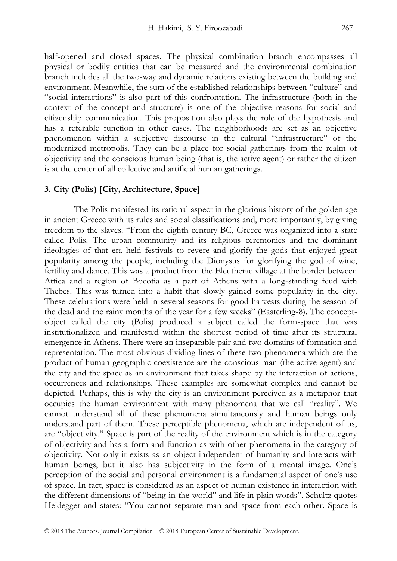half-opened and closed spaces. The physical combination branch encompasses all physical or bodily entities that can be measured and the environmental combination branch includes all the two-way and dynamic relations existing between the building and environment. Meanwhile, the sum of the established relationships between "culture" and "social interactions" is also part of this confrontation. The infrastructure (both in the context of the concept and structure) is one of the objective reasons for social and citizenship communication. This proposition also plays the role of the hypothesis and has a referable function in other cases. The neighborhoods are set as an objective phenomenon within a subjective discourse in the cultural "infrastructure" of the modernized metropolis. They can be a place for social gatherings from the realm of objectivity and the conscious human being (that is, the active agent) or rather the citizen is at the center of all collective and artificial human gatherings.

## **3. City (Polis) [City, Architecture, Space]**

The Polis manifested its rational aspect in the glorious history of the golden age in ancient Greece with its rules and social classifications and, more importantly, by giving freedom to the slaves. "From the eighth century BC, Greece was organized into a state called Polis. The urban community and its religious ceremonies and the dominant ideologies of that era held festivals to revere and glorify the gods that enjoyed great popularity among the people, including the Dionysus for glorifying the god of wine, fertility and dance. This was a product from the Eleutherae village at the border between Attica and a region of Boeotia as a part of Athens with a long-standing feud with Thebes. This was turned into a habit that slowly gained some popularity in the city. These celebrations were held in several seasons for good harvests during the season of the dead and the rainy months of the year for a few weeks" (Easterling-8). The conceptobject called the city (Polis) produced a subject called the form-space that was institutionalized and manifested within the shortest period of time after its structural emergence in Athens. There were an inseparable pair and two domains of formation and representation. The most obvious dividing lines of these two phenomena which are the product of human geographic coexistence are the conscious man (the active agent) and the city and the space as an environment that takes shape by the interaction of actions, occurrences and relationships. These examples are somewhat complex and cannot be depicted. Perhaps, this is why the city is an environment perceived as a metaphor that occupies the human environment with many phenomena that we call "reality". We cannot understand all of these phenomena simultaneously and human beings only understand part of them. These perceptible phenomena, which are independent of us, are "objectivity." Space is part of the reality of the environment which is in the category of objectivity and has a form and function as with other phenomena in the category of objectivity. Not only it exists as an object independent of humanity and interacts with human beings, but it also has subjectivity in the form of a mental image. One's perception of the social and personal environment is a fundamental aspect of one"s use of space. In fact, space is considered as an aspect of human existence in interaction with the different dimensions of "being-in-the-world" and life in plain words". Schultz quotes Heidegger and states: "You cannot separate man and space from each other. Space is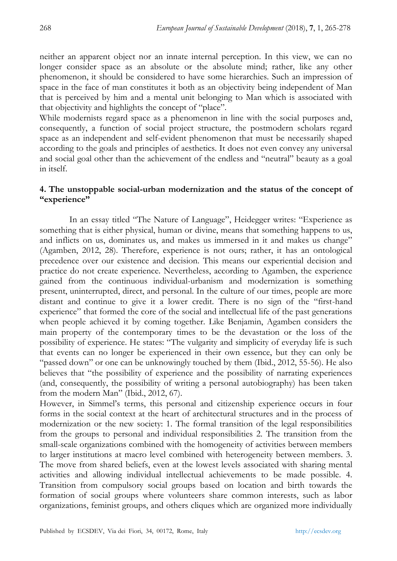neither an apparent object nor an innate internal perception. In this view, we can no longer consider space as an absolute or the absolute mind; rather, like any other phenomenon, it should be considered to have some hierarchies. Such an impression of space in the face of man constitutes it both as an objectivity being independent of Man that is perceived by him and a mental unit belonging to Man which is associated with that objectivity and highlights the concept of "place".

While modernists regard space as a phenomenon in line with the social purposes and, consequently, a function of social project structure, the postmodern scholars regard space as an independent and self-evident phenomenon that must be necessarily shaped according to the goals and principles of aesthetics. It does not even convey any universal and social goal other than the achievement of the endless and "neutral" beauty as a goal in itself.

## **4. The unstoppable social-urban modernization and the status of the concept of "experience"**

In an essay titled "The Nature of Language", Heidegger writes: "Experience as something that is either physical, human or divine, means that something happens to us, and inflicts on us, dominates us, and makes us immersed in it and makes us change" (Agamben, 2012, 28). Therefore, experience is not ours; rather, it has an ontological precedence over our existence and decision. This means our experiential decision and practice do not create experience. Nevertheless, according to Agamben, the experience gained from the continuous individual-urbanism and modernization is something present, uninterrupted, direct, and personal. In the culture of our times, people are more distant and continue to give it a lower credit. There is no sign of the "first-hand experience" that formed the core of the social and intellectual life of the past generations when people achieved it by coming together. Like Benjamin, Agamben considers the main property of the contemporary times to be the devastation or the loss of the possibility of experience. He states: "The vulgarity and simplicity of everyday life is such that events can no longer be experienced in their own essence, but they can only be "passed down" or one can be unknowingly touched by them (Ibid., 2012, 55-56). He also believes that "the possibility of experience and the possibility of narrating experiences (and, consequently, the possibility of writing a personal autobiography) has been taken from the modern Man" (Ibid., 2012, 67).

However, in Simmel"s terms, this personal and citizenship experience occurs in four forms in the social context at the heart of architectural structures and in the process of modernization or the new society: 1. The formal transition of the legal responsibilities from the groups to personal and individual responsibilities 2. The transition from the small-scale organizations combined with the homogeneity of activities between members to larger institutions at macro level combined with heterogeneity between members. 3. The move from shared beliefs, even at the lowest levels associated with sharing mental activities and allowing individual intellectual achievements to be made possible. 4. Transition from compulsory social groups based on location and birth towards the formation of social groups where volunteers share common interests, such as labor organizations, feminist groups, and others cliques which are organized more individually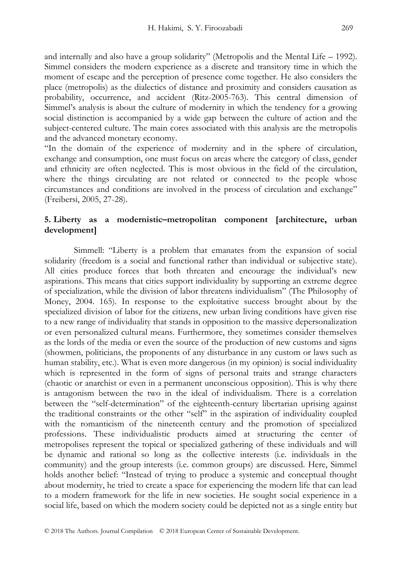and internally and also have a group solidarity" (Metropolis and the Mental Life – 1992). Simmel considers the modern experience as a discrete and transitory time in which the moment of escape and the perception of presence come together. He also considers the place (metropolis) as the dialectics of distance and proximity and considers causation as probability, occurrence, and accident (Ritz-2005-763). This central dimension of Simmel"s analysis is about the culture of modernity in which the tendency for a growing social distinction is accompanied by a wide gap between the culture of action and the subject-centered culture. The main cores associated with this analysis are the metropolis and the advanced monetary economy.

"In the domain of the experience of modernity and in the sphere of circulation, exchange and consumption, one must focus on areas where the category of class, gender and ethnicity are often neglected. This is most obvious in the field of the circulation, where the things circulating are not related or connected to the people whose circumstances and conditions are involved in the process of circulation and exchange" (Freibersi, 2005, 27-28).

# **5. Liberty as a modernistic–metropolitan component [architecture, urban development]**

Simmell: "Liberty is a problem that emanates from the expansion of social solidarity (freedom is a social and functional rather than individual or subjective state). All cities produce forces that both threaten and encourage the individual"s new aspirations. This means that cities support individuality by supporting an extreme degree of specialization, while the division of labor threatens individualism" (The Philosophy of Money, 2004. 165). In response to the exploitative success brought about by the specialized division of labor for the citizens, new urban living conditions have given rise to a new range of individuality that stands in opposition to the massive depersonalization or even personalized cultural means. Furthermore, they sometimes consider themselves as the lords of the media or even the source of the production of new customs and signs (showmen, politicians, the proponents of any disturbance in any custom or laws such as human stability, etc.). What is even more dangerous (in my opinion) is social individuality which is represented in the form of signs of personal traits and strange characters (chaotic or anarchist or even in a permanent unconscious opposition). This is why there is antagonism between the two in the ideal of individualism. There is a correlation between the "self-determination" of the eighteenth-century libertarian uprising against the traditional constraints or the other "self" in the aspiration of individuality coupled with the romanticism of the nineteenth century and the promotion of specialized professions. These individualistic products aimed at structuring the center of metropolises represent the topical or specialized gathering of these individuals and will be dynamic and rational so long as the collective interests (i.e. individuals in the community) and the group interests (i.e. common groups) are discussed. Here, Simmel holds another belief: "Instead of trying to produce a systemic and conceptual thought about modernity, he tried to create a space for experiencing the modern life that can lead to a modern framework for the life in new societies. He sought social experience in a social life, based on which the modern society could be depicted not as a single entity but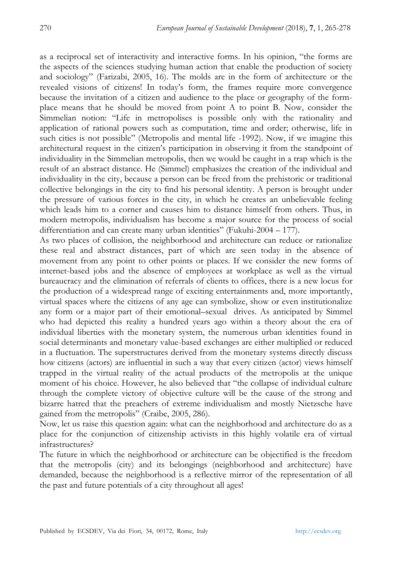as a reciprocal set of interactivity and interactive forms. In his opinion, "the forms are the aspects of the sciences studying human action that enable the production of society and sociology" (Farizabi, 2005, 16). The molds are in the form of architecture or the revealed visions of citizens! In today"s form, the frames require more convergence because the invitation of a citizen and audience to the place or geography of the formplace means that he should be moved from point A to point B. Now, consider the Simmelian notion: "Life in metropolises is possible only with the rationality and application of rational powers such as computation, time and order; otherwise, life in such cities is not possible" (Metropolis and mental life -1992). Now, if we imagine this architectural request in the citizen"s participation in observing it from the standpoint of individuality in the Simmelian metropolis, then we would be caught in a trap which is the result of an abstract distance. He (Simmel) emphasizes the creation of the individual and individuality in the city, because a person can be freed from the prehistoric or traditional collective belongings in the city to find his personal identity. A person is brought under the pressure of various forces in the city, in which he creates an unbelievable feeling which leads him to a corner and causes him to distance himself from others. Thus, in modern metropolis, individualism has become a major source for the process of social differentiation and can create many urban identities" (Fukuhi-2004 – 177).

As two places of collision, the neighborhood and architecture can reduce or rationalize these real and abstract distances, part of which are seen today in the absence of movement from any point to other points or places. If we consider the new forms of internet-based jobs and the absence of employees at workplace as well as the virtual bureaucracy and the elimination of referrals of clients to offices, there is a new locus for the production of a widespread range of exciting entertainments and, more importantly, virtual spaces where the citizens of any age can symbolize, show or even institutionalize any form or a major part of their emotional–sexual drives. As anticipated by Simmel who had depicted this reality a hundred years ago within a theory about the era of individual liberties with the monetary system, the numerous urban identities found in social determinants and monetary value-based exchanges are either multiplied or reduced in a fluctuation. The superstructures derived from the monetary systems directly discuss how citizens (actors) are influential in such a way that every citizen (actor) views himself trapped in the virtual reality of the actual products of the metropolis at the unique moment of his choice. However, he also believed that "the collapse of individual culture through the complete victory of objective culture will be the cause of the strong and bizarre hatred that the preachers of extreme individualism and mostly Nietzsche have gained from the metropolis" (Craibe, 2005, 286).

Now, let us raise this question again: what can the neighborhood and architecture do as a place for the conjunction of citizenship activists in this highly volatile era of virtual infrastructures?

The future in which the neighborhood or architecture can be objectified is the freedom that the metropolis (city) and its belongings (neighborhood and architecture) have demanded, because the neighborhood is a reflective mirror of the representation of all the past and future potentials of a city throughout all ages!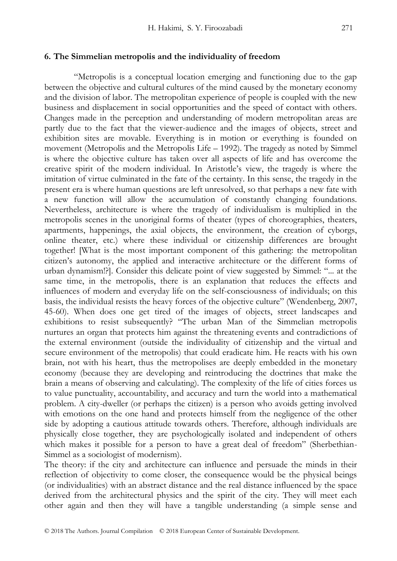#### **6. The Simmelian metropolis and the individuality of freedom**

"Metropolis is a conceptual location emerging and functioning due to the gap between the objective and cultural cultures of the mind caused by the monetary economy and the division of labor. The metropolitan experience of people is coupled with the new business and displacement in social opportunities and the speed of contact with others. Changes made in the perception and understanding of modern metropolitan areas are partly due to the fact that the viewer-audience and the images of objects, street and exhibition sites are movable. Everything is in motion or everything is founded on movement (Metropolis and the Metropolis Life – 1992). The tragedy as noted by Simmel is where the objective culture has taken over all aspects of life and has overcome the creative spirit of the modern individual. In Aristotle"s view, the tragedy is where the imitation of virtue culminated in the fate of the certainty. In this sense, the tragedy in the present era is where human questions are left unresolved, so that perhaps a new fate with a new function will allow the accumulation of constantly changing foundations. Nevertheless, architecture is where the tragedy of individualism is multiplied in the metropolis scenes in the unoriginal forms of theater (types of choreographies, theaters, apartments, happenings, the axial objects, the environment, the creation of cyborgs, online theater, etc.) where these individual or citizenship differences are brought together! [What is the most important component of this gathering: the metropolitan citizen"s autonomy, the applied and interactive architecture or the different forms of urban dynamism!?]. Consider this delicate point of view suggested by Simmel: "... at the same time, in the metropolis, there is an explanation that reduces the effects and influences of modern and everyday life on the self-consciousness of individuals; on this basis, the individual resists the heavy forces of the objective culture" (Wendenberg, 2007, 45-60). When does one get tired of the images of objects, street landscapes and exhibitions to resist subsequently? "The urban Man of the Simmelian metropolis nurtures an organ that protects him against the threatening events and contradictions of the external environment (outside the individuality of citizenship and the virtual and secure environment of the metropolis) that could eradicate him. He reacts with his own brain, not with his heart, thus the metropolises are deeply embedded in the monetary economy (because they are developing and reintroducing the doctrines that make the brain a means of observing and calculating). The complexity of the life of cities forces us to value punctuality, accountability, and accuracy and turn the world into a mathematical problem. A city-dweller (or perhaps the citizen) is a person who avoids getting involved with emotions on the one hand and protects himself from the negligence of the other side by adopting a cautious attitude towards others. Therefore, although individuals are physically close together, they are psychologically isolated and independent of others which makes it possible for a person to have a great deal of freedom" (Sherbethian-Simmel as a sociologist of modernism).

The theory: if the city and architecture can influence and persuade the minds in their reflection of objectivity to come closer, the consequence would be the physical beings (or individualities) with an abstract distance and the real distance influenced by the space derived from the architectural physics and the spirit of the city. They will meet each other again and then they will have a tangible understanding (a simple sense and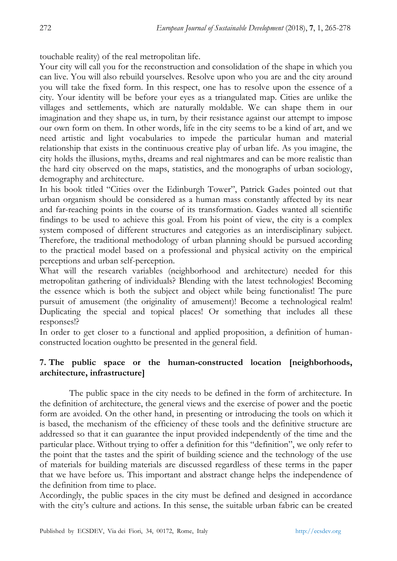touchable reality) of the real metropolitan life.

Your city will call you for the reconstruction and consolidation of the shape in which you can live. You will also rebuild yourselves. Resolve upon who you are and the city around you will take the fixed form. In this respect, one has to resolve upon the essence of a city. Your identity will be before your eyes as a triangulated map. Cities are unlike the villages and settlements, which are naturally moldable. We can shape them in our imagination and they shape us, in turn, by their resistance against our attempt to impose our own form on them. In other words, life in the city seems to be a kind of art, and we need artistic and light vocabularies to impede the particular human and material relationship that exists in the continuous creative play of urban life. As you imagine, the city holds the illusions, myths, dreams and real nightmares and can be more realistic than the hard city observed on the maps, statistics, and the monographs of urban sociology, demography and architecture.

In his book titled "Cities over the Edinburgh Tower", Patrick Gades pointed out that urban organism should be considered as a human mass constantly affected by its near and far-reaching points in the course of its transformation. Gades wanted all scientific findings to be used to achieve this goal. From his point of view, the city is a complex system composed of different structures and categories as an interdisciplinary subject. Therefore, the traditional methodology of urban planning should be pursued according to the practical model based on a professional and physical activity on the empirical perceptions and urban self-perception.

What will the research variables (neighborhood and architecture) needed for this metropolitan gathering of individuals? Blending with the latest technologies! Becoming the essence which is both the subject and object while being functionalist! The pure pursuit of amusement (the originality of amusement)! Become a technological realm! Duplicating the special and topical places! Or something that includes all these responses!?

In order to get closer to a functional and applied proposition, a definition of humanconstructed location oughtto be presented in the general field.

# **7. The public space or the human-constructed location [neighborhoods, architecture, infrastructure]**

The public space in the city needs to be defined in the form of architecture. In the definition of architecture, the general views and the exercise of power and the poetic form are avoided. On the other hand, in presenting or introducing the tools on which it is based, the mechanism of the efficiency of these tools and the definitive structure are addressed so that it can guarantee the input provided independently of the time and the particular place. Without trying to offer a definition for this "definition", we only refer to the point that the tastes and the spirit of building science and the technology of the use of materials for building materials are discussed regardless of these terms in the paper that we have before us. This important and abstract change helps the independence of the definition from time to place.

Accordingly, the public spaces in the city must be defined and designed in accordance with the city's culture and actions. In this sense, the suitable urban fabric can be created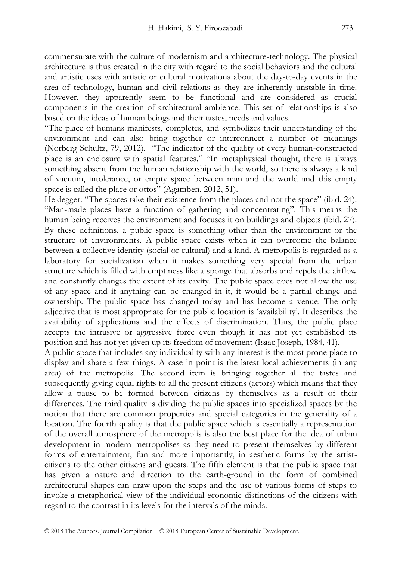commensurate with the culture of modernism and architecture-technology. The physical architecture is thus created in the city with regard to the social behaviors and the cultural and artistic uses with artistic or cultural motivations about the day-to-day events in the area of technology, human and civil relations as they are inherently unstable in time. However, they apparently seem to be functional and are considered as crucial components in the creation of architectural ambience. This set of relationships is also based on the ideas of human beings and their tastes, needs and values.

"The place of humans manifests, completes, and symbolizes their understanding of the environment and can also bring together or interconnect a number of meanings (Norberg Schultz, 79, 2012). "The indicator of the quality of every human-constructed place is an enclosure with spatial features." "In metaphysical thought, there is always something absent from the human relationship with the world, so there is always a kind of vacuum, intolerance, or empty space between man and the world and this empty space is called the place or ottos" (Agamben, 2012, 51).

Heidegger: "The spaces take their existence from the places and not the space" (ibid. 24). "Man-made places have a function of gathering and concentrating". This means the human being receives the environment and focuses it on buildings and objects (ibid. 27). By these definitions, a public space is something other than the environment or the structure of environments. A public space exists when it can overcome the balance between a collective identity (social or cultural) and a land. A metropolis is regarded as a laboratory for socialization when it makes something very special from the urban structure which is filled with emptiness like a sponge that absorbs and repels the airflow and constantly changes the extent of its cavity. The public space does not allow the use of any space and if anything can be changed in it, it would be a partial change and ownership. The public space has changed today and has become a venue. The only adjective that is most appropriate for the public location is "availability". It describes the availability of applications and the effects of discrimination. Thus, the public place accepts the intrusive or aggressive force even though it has not yet established its position and has not yet given up its freedom of movement (Isaac Joseph, 1984, 41).

A public space that includes any individuality with any interest is the most prone place to display and share a few things. A case in point is the latest local achievements (in any area) of the metropolis. The second item is bringing together all the tastes and subsequently giving equal rights to all the present citizens (actors) which means that they allow a pause to be formed between citizens by themselves as a result of their differences. The third quality is dividing the public spaces into specialized spaces by the notion that there are common properties and special categories in the generality of a location. The fourth quality is that the public space which is essentially a representation of the overall atmosphere of the metropolis is also the best place for the idea of urban development in modern metropolises as they need to present themselves by different forms of entertainment, fun and more importantly, in aesthetic forms by the artistcitizens to the other citizens and guests. The fifth element is that the public space that has given a nature and direction to the earth-ground in the form of combined architectural shapes can draw upon the steps and the use of various forms of steps to invoke a metaphorical view of the individual-economic distinctions of the citizens with regard to the contrast in its levels for the intervals of the minds.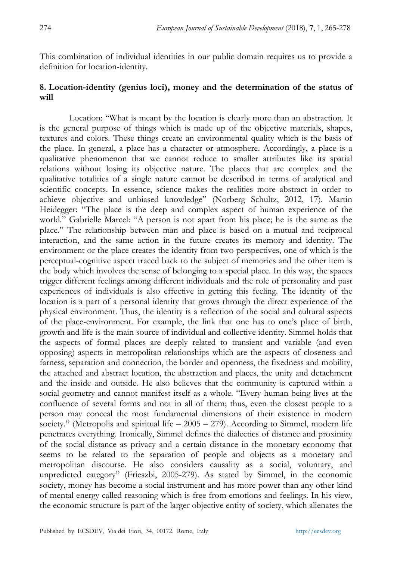This combination of individual identities in our public domain requires us to provide a definition for location-identity.

## **8. Location-identity (genius loci), money and the determination of the status of will**

Location: "What is meant by the location is clearly more than an abstraction. It is the general purpose of things which is made up of the objective materials, shapes, textures and colors. These things create an environmental quality which is the basis of the place. In general, a place has a character or atmosphere. Accordingly, a place is a qualitative phenomenon that we cannot reduce to smaller attributes like its spatial relations without losing its objective nature. The places that are complex and the qualitative totalities of a single nature cannot be described in terms of analytical and scientific concepts. In essence, science makes the realities more abstract in order to achieve objective and unbiased knowledge" (Norberg Schultz, 2012, 17). Martin Heidegger: "The place is the deep and complex aspect of human experience of the world." Gabrielle Marcel: "A person is not apart from his place; he is the same as the place." The relationship between man and place is based on a mutual and reciprocal interaction, and the same action in the future creates its memory and identity. The environment or the place creates the identity from two perspectives, one of which is the perceptual-cognitive aspect traced back to the subject of memories and the other item is the body which involves the sense of belonging to a special place. In this way, the spaces trigger different feelings among different individuals and the role of personality and past experiences of individuals is also effective in getting this feeling. The identity of the location is a part of a personal identity that grows through the direct experience of the physical environment. Thus, the identity is a reflection of the social and cultural aspects of the place-environment. For example, the link that one has to one"s place of birth, growth and life is the main source of individual and collective identity. Simmel holds that the aspects of formal places are deeply related to transient and variable (and even opposing) aspects in metropolitan relationships which are the aspects of closeness and farness, separation and connection, the border and openness, the fixedness and mobility, the attached and abstract location, the abstraction and places, the unity and detachment and the inside and outside. He also believes that the community is captured within a social geometry and cannot manifest itself as a whole. "Every human being lives at the confluence of several forms and not in all of them; thus, even the closest people to a person may conceal the most fundamental dimensions of their existence in modern society." (Metropolis and spiritual life  $-2005 - 279$ ). According to Simmel, modern life penetrates everything. Ironically, Simmel defines the dialectics of distance and proximity of the social distance as privacy and a certain distance in the monetary economy that seems to be related to the separation of people and objects as a monetary and metropolitan discourse. He also considers causality as a social, voluntary, and unpredicted category" (Frieszbi, 2005-279). As stated by Simmel, in the economic society, money has become a social instrument and has more power than any other kind of mental energy called reasoning which is free from emotions and feelings. In his view, the economic structure is part of the larger objective entity of society, which alienates the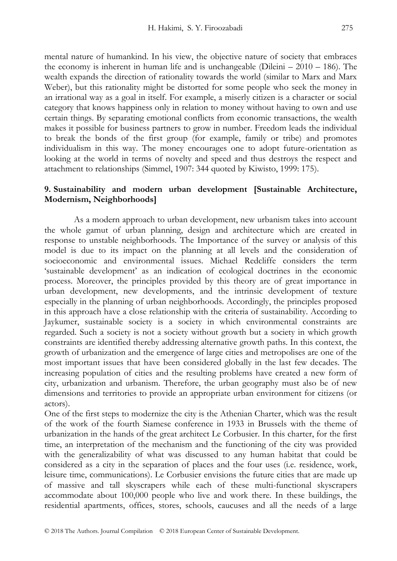mental nature of humankind. In his view, the objective nature of society that embraces the economy is inherent in human life and is unchangeable (Dileini  $-2010 - 186$ ). The wealth expands the direction of rationality towards the world (similar to Marx and Marx Weber), but this rationality might be distorted for some people who seek the money in an irrational way as a goal in itself. For example, a miserly citizen is a character or social category that knows happiness only in relation to money without having to own and use certain things. By separating emotional conflicts from economic transactions, the wealth makes it possible for business partners to grow in number. Freedom leads the individual to break the bonds of the first group (for example, family or tribe) and promotes individualism in this way. The money encourages one to adopt future-orientation as looking at the world in terms of novelty and speed and thus destroys the respect and attachment to relationships (Simmel, 1907: 344 quoted by Kiwisto, 1999: 175).

## **9. Sustainability and modern urban development [Sustainable Architecture, Modernism, Neighborhoods]**

As a modern approach to urban development, new urbanism takes into account the whole gamut of urban planning, design and architecture which are created in response to unstable neighborhoods. The Importance of the survey or analysis of this model is due to its impact on the planning at all levels and the consideration of socioeconomic and environmental issues. Michael Redcliffe considers the term "sustainable development" as an indication of ecological doctrines in the economic process. Moreover, the principles provided by this theory are of great importance in urban development, new developments, and the intrinsic development of texture especially in the planning of urban neighborhoods. Accordingly, the principles proposed in this approach have a close relationship with the criteria of sustainability. According to Jaykumer, sustainable society is a society in which environmental constraints are regarded. Such a society is not a society without growth but a society in which growth constraints are identified thereby addressing alternative growth paths. In this context, the growth of urbanization and the emergence of large cities and metropolises are one of the most important issues that have been considered globally in the last few decades. The increasing population of cities and the resulting problems have created a new form of city, urbanization and urbanism. Therefore, the urban geography must also be of new dimensions and territories to provide an appropriate urban environment for citizens (or actors).

One of the first steps to modernize the city is the Athenian Charter, which was the result of the work of the fourth Siamese conference in 1933 in Brussels with the theme of urbanization in the hands of the great architect Le Corbusier. In this charter, for the first time, an interpretation of the mechanism and the functioning of the city was provided with the generalizability of what was discussed to any human habitat that could be considered as a city in the separation of places and the four uses (i.e. residence, work, leisure time, communications). Le Corbusier envisions the future cities that are made up of massive and tall skyscrapers while each of these multi-functional skyscrapers accommodate about 100,000 people who live and work there. In these buildings, the residential apartments, offices, stores, schools, caucuses and all the needs of a large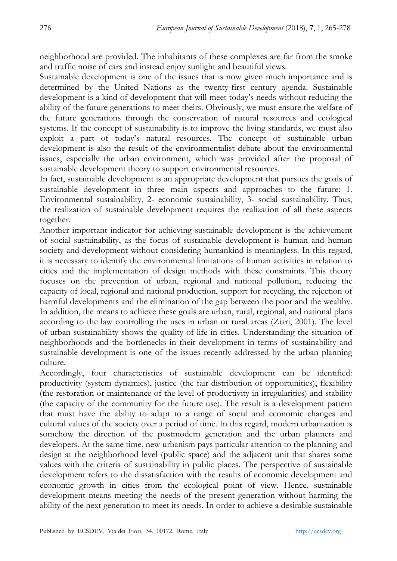neighborhood are provided. The inhabitants of these complexes are far from the smoke and traffic noise of cars and instead enjoy sunlight and beautiful views.

Sustainable development is one of the issues that is now given much importance and is determined by the United Nations as the twenty-first century agenda. Sustainable development is a kind of development that will meet today"s needs without reducing the ability of the future generations to meet theirs. Obviously, we must ensure the welfare of the future generations through the conservation of natural resources and ecological systems. If the concept of sustainability is to improve the living standards, we must also exploit a part of today's natural resources. The concept of sustainable urban development is also the result of the environmentalist debate about the environmental issues, especially the urban environment, which was provided after the proposal of sustainable development theory to support environmental resources.

In fact, sustainable development is an appropriate development that pursues the goals of sustainable development in three main aspects and approaches to the future: 1. Environmental sustainability, 2- economic sustainability, 3- social sustainability. Thus, the realization of sustainable development requires the realization of all these aspects together.

Another important indicator for achieving sustainable development is the achievement of social sustainability, as the focus of sustainable development is human and human society and development without considering humankind is meaningless. In this regard, it is necessary to identify the environmental limitations of human activities in relation to cities and the implementation of design methods with these constraints. This theory focuses on the prevention of urban, regional and national pollution, reducing the capacity of local, regional and national production, support for recycling, the rejection of harmful developments and the elimination of the gap between the poor and the wealthy. In addition, the means to achieve these goals are urban, rural, regional, and national plans according to the law controlling the uses in urban or rural areas (Ziari, 2001). The level of urban sustainability shows the quality of life in cities. Understanding the situation of neighborhoods and the bottlenecks in their development in terms of sustainability and sustainable development is one of the issues recently addressed by the urban planning culture.

Accordingly, four characteristics of sustainable development can be identified: productivity (system dynamics), justice (the fair distribution of opportunities), flexibility (the restoration or maintenance of the level of productivity in irregularities) and stability (the capacity of the community for the future use). The result is a development pattern that must have the ability to adapt to a range of social and economic changes and cultural values of the society over a period of time. In this regard, modern urbanization is somehow the direction of the postmodern generation and the urban planners and developers. At the same time, new urbanism pays particular attention to the planning and design at the neighborhood level (public space) and the adjacent unit that shares some values with the criteria of sustainability in public places. The perspective of sustainable development refers to the dissatisfaction with the results of economic development and economic growth in cities from the ecological point of view. Hence, sustainable development means meeting the needs of the present generation without harming the ability of the next generation to meet its needs. In order to achieve a desirable sustainable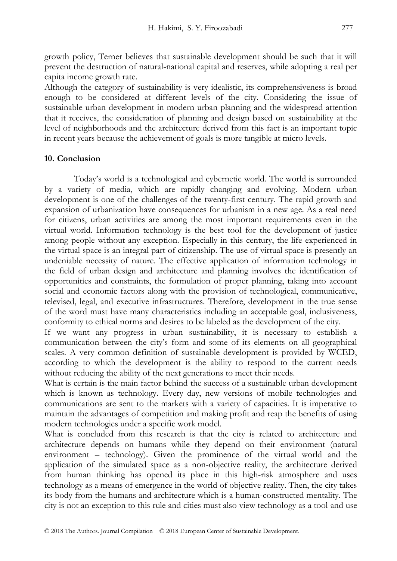growth policy, Terner believes that sustainable development should be such that it will prevent the destruction of natural-national capital and reserves, while adopting a real per capita income growth rate.

Although the category of sustainability is very idealistic, its comprehensiveness is broad enough to be considered at different levels of the city. Considering the issue of sustainable urban development in modern urban planning and the widespread attention that it receives, the consideration of planning and design based on sustainability at the level of neighborhoods and the architecture derived from this fact is an important topic in recent years because the achievement of goals is more tangible at micro levels.

## **10. Conclusion**

Today"s world is a technological and cybernetic world. The world is surrounded by a variety of media, which are rapidly changing and evolving. Modern urban development is one of the challenges of the twenty-first century. The rapid growth and expansion of urbanization have consequences for urbanism in a new age. As a real need for citizens, urban activities are among the most important requirements even in the virtual world. Information technology is the best tool for the development of justice among people without any exception. Especially in this century, the life experienced in the virtual space is an integral part of citizenship. The use of virtual space is presently an undeniable necessity of nature. The effective application of information technology in the field of urban design and architecture and planning involves the identification of opportunities and constraints, the formulation of proper planning, taking into account social and economic factors along with the provision of technological, communicative, televised, legal, and executive infrastructures. Therefore, development in the true sense of the word must have many characteristics including an acceptable goal, inclusiveness, conformity to ethical norms and desires to be labeled as the development of the city.

If we want any progress in urban sustainability, it is necessary to establish a communication between the city"s form and some of its elements on all geographical scales. A very common definition of sustainable development is provided by WCED, according to which the development is the ability to respond to the current needs without reducing the ability of the next generations to meet their needs.

What is certain is the main factor behind the success of a sustainable urban development which is known as technology. Every day, new versions of mobile technologies and communications are sent to the markets with a variety of capacities. It is imperative to maintain the advantages of competition and making profit and reap the benefits of using modern technologies under a specific work model.

What is concluded from this research is that the city is related to architecture and architecture depends on humans while they depend on their environment (natural environment – technology). Given the prominence of the virtual world and the application of the simulated space as a non-objective reality, the architecture derived from human thinking has opened its place in this high-risk atmosphere and uses technology as a means of emergence in the world of objective reality. Then, the city takes its body from the humans and architecture which is a human-constructed mentality. The city is not an exception to this rule and cities must also view technology as a tool and use